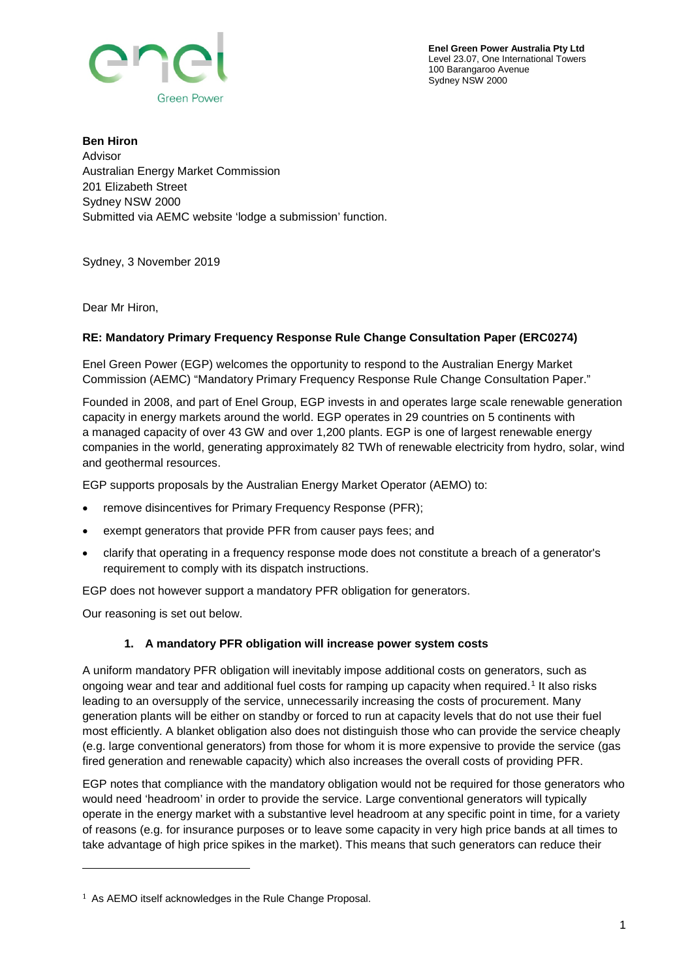



**Ben Hiron** Advisor Australian Energy Market Commission 201 Elizabeth Street Sydney NSW 2000 Submitted via AEMC website 'lodge a submission' function.

Sydney, 3 November 2019

Dear Mr Hiron,

## **RE: Mandatory Primary Frequency Response Rule Change Consultation Paper (ERC0274)**

Enel Green Power (EGP) welcomes the opportunity to respond to the Australian Energy Market Commission (AEMC) "Mandatory Primary Frequency Response Rule Change Consultation Paper."

Founded in 2008, and part of Enel Group, EGP invests in and operates large scale renewable generation capacity in energy markets around the world. EGP operates in 29 countries on 5 continents with a managed capacity of over 43 GW and over 1,200 plants. EGP is one of largest renewable energy companies in the world, generating approximately 82 TWh of renewable electricity from hydro, solar, wind and geothermal resources.

EGP supports proposals by the Australian Energy Market Operator (AEMO) to:

- remove disincentives for Primary Frequency Response (PFR);
- exempt generators that provide PFR from causer pays fees; and
- clarify that operating in a frequency response mode does not constitute a breach of a generator's requirement to comply with its dispatch instructions.

EGP does not however support a mandatory PFR obligation for generators.

Our reasoning is set out below.

i<br>I

## **1. A mandatory PFR obligation will increase power system costs**

A uniform mandatory PFR obligation will inevitably impose additional costs on generators, such as ongoing wear and tear and additional fuel costs for ramping up capacity when required.[1](#page-0-0) It also risks leading to an oversupply of the service, unnecessarily increasing the costs of procurement. Many generation plants will be either on standby or forced to run at capacity levels that do not use their fuel most efficiently. A blanket obligation also does not distinguish those who can provide the service cheaply (e.g. large conventional generators) from those for whom it is more expensive to provide the service (gas fired generation and renewable capacity) which also increases the overall costs of providing PFR.

EGP notes that compliance with the mandatory obligation would not be required for those generators who would need 'headroom' in order to provide the service. Large conventional generators will typically operate in the energy market with a substantive level headroom at any specific point in time, for a variety of reasons (e.g. for insurance purposes or to leave some capacity in very high price bands at all times to take advantage of high price spikes in the market). This means that such generators can reduce their

<span id="page-0-0"></span><sup>1</sup> As AEMO itself acknowledges in the Rule Change Proposal.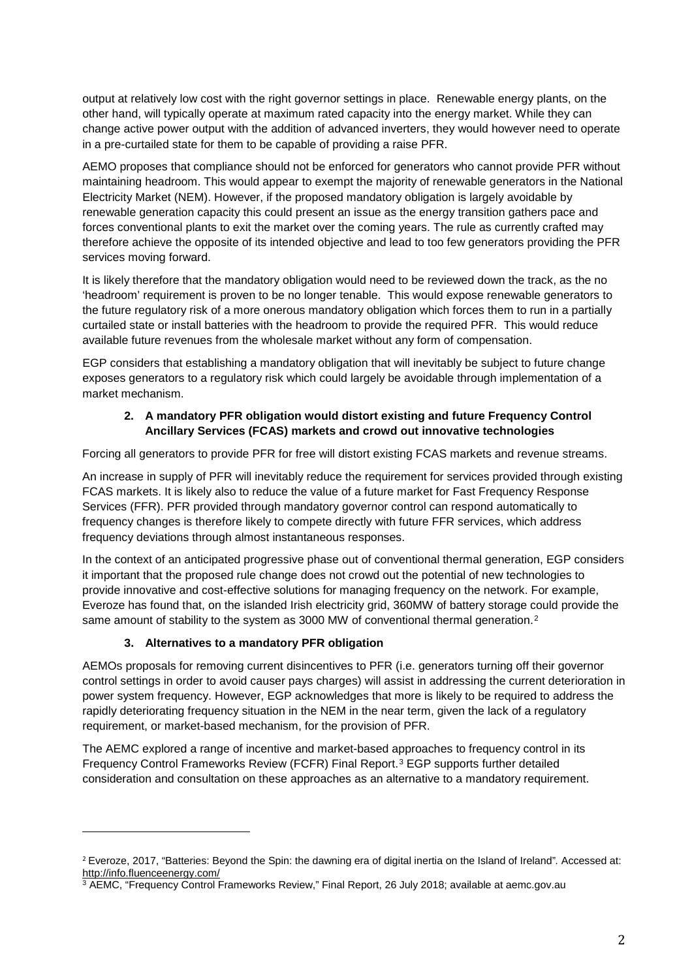output at relatively low cost with the right governor settings in place. Renewable energy plants, on the other hand, will typically operate at maximum rated capacity into the energy market. While they can change active power output with the addition of advanced inverters, they would however need to operate in a pre-curtailed state for them to be capable of providing a raise PFR.

AEMO proposes that compliance should not be enforced for generators who cannot provide PFR without maintaining headroom. This would appear to exempt the majority of renewable generators in the National Electricity Market (NEM). However, if the proposed mandatory obligation is largely avoidable by renewable generation capacity this could present an issue as the energy transition gathers pace and forces conventional plants to exit the market over the coming years. The rule as currently crafted may therefore achieve the opposite of its intended objective and lead to too few generators providing the PFR services moving forward.

It is likely therefore that the mandatory obligation would need to be reviewed down the track, as the no 'headroom' requirement is proven to be no longer tenable. This would expose renewable generators to the future regulatory risk of a more onerous mandatory obligation which forces them to run in a partially curtailed state or install batteries with the headroom to provide the required PFR. This would reduce available future revenues from the wholesale market without any form of compensation.

EGP considers that establishing a mandatory obligation that will inevitably be subject to future change exposes generators to a regulatory risk which could largely be avoidable through implementation of a market mechanism.

## **2. A mandatory PFR obligation would distort existing and future Frequency Control Ancillary Services (FCAS) markets and crowd out innovative technologies**

Forcing all generators to provide PFR for free will distort existing FCAS markets and revenue streams.

An increase in supply of PFR will inevitably reduce the requirement for services provided through existing FCAS markets. It is likely also to reduce the value of a future market for Fast Frequency Response Services (FFR). PFR provided through mandatory governor control can respond automatically to frequency changes is therefore likely to compete directly with future FFR services, which address frequency deviations through almost instantaneous responses.

In the context of an anticipated progressive phase out of conventional thermal generation, EGP considers it important that the proposed rule change does not crowd out the potential of new technologies to provide innovative and cost-effective solutions for managing frequency on the network. For example, Everoze has found that, on the islanded Irish electricity grid, 360MW of battery storage could provide the same amount of stability to the system as 3000 MW of conventional thermal generation.<sup>[2](#page-1-0)</sup>

## **3. Alternatives to a mandatory PFR obligation**

i<br>I

AEMOs proposals for removing current disincentives to PFR (i.e. generators turning off their governor control settings in order to avoid causer pays charges) will assist in addressing the current deterioration in power system frequency. However, EGP acknowledges that more is likely to be required to address the rapidly deteriorating frequency situation in the NEM in the near term, given the lack of a regulatory requirement, or market-based mechanism, for the provision of PFR.

The AEMC explored a range of incentive and market-based approaches to frequency control in its Frequency Control Frameworks Review (FCFR) Final Report.[3](#page-1-1) EGP supports further detailed consideration and consultation on these approaches as an alternative to a mandatory requirement.

<span id="page-1-0"></span><sup>2</sup> Everoze, 2017, "Batteries: Beyond the Spin: the dawning era of digital inertia on the Island of Ireland"*.* Accessed at: <http://info.fluenceenergy.com/>

<span id="page-1-1"></span><sup>3</sup> AEMC, "Frequency Control Frameworks Review," Final Report, 26 July 2018; available at aemc.gov.au